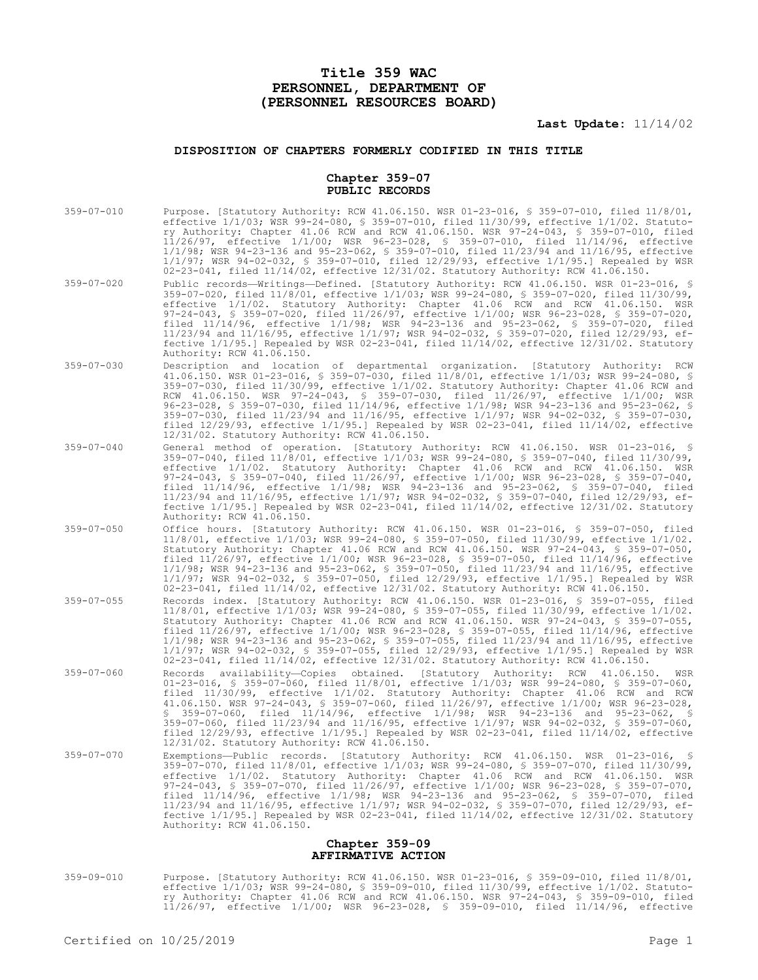# **Title 359 WAC PERSONNEL, DEPARTMENT OF (PERSONNEL RESOURCES BOARD)**

# **Last Update:** 11/14/02

# **DISPOSITION OF CHAPTERS FORMERLY CODIFIED IN THIS TITLE**

### **Chapter 359-07 PUBLIC RECORDS**

| $359 - 07 - 010$                     | Purpose. [Statutory Authority: RCW 41.06.150. WSR 01-23-016, § 359-07-010, filed 11/8/01,<br>effective $1/1/03$ ; WSR 99-24-080, § 359-07-010, filed $11/30/99$ , effective $1/1/02$ . Statuto-<br>ry Authority: Chapter 41.06 RCW and RCW 41.06.150. WSR 97-24-043, § 359-07-010, filed<br>$11/26/97$ , effective $1/1/00$ ; WSR 96-23-028, § 359-07-010, filed $11/14/96$ , effective<br>$1/1/98$ ; WSR 94-23-136 and 95-23-062, § 359-07-010, filed 11/23/94 and 11/16/95, effective<br>$1/1/97$ ; WSR 94-02-032, § 359-07-010, filed $12/29/93$ , effective 1/1/95.] Repealed by WSR<br>02-23-041, filed 11/14/02, effective 12/31/02. Statutory Authority: RCW 41.06.150.                             |
|--------------------------------------|------------------------------------------------------------------------------------------------------------------------------------------------------------------------------------------------------------------------------------------------------------------------------------------------------------------------------------------------------------------------------------------------------------------------------------------------------------------------------------------------------------------------------------------------------------------------------------------------------------------------------------------------------------------------------------------------------------|
| $359 - 07 - 020$                     | Public records—Writings—Defined. [Statutory Authority: RCW 41.06.150. WSR 01-23-016, §<br>359-07-020, filed 11/8/01, effective 1/1/03; WSR 99-24-080, § 359-07-020, filed 11/30/99,<br>effective 1/1/02. Statutory Authority: Chapter 41.06 RCW and RCW 41.06.150. WSR<br>97-24-043, \$ 359-07-020, filed 11/26/97, effective 1/1/00; WSR 96-23-028, \$ 359-07-020,<br>filed 11/14/96, effective 1/1/98; WSR 94-23-136 and 95-23-062, § 359-07-020, filed<br>11/23/94 and 11/16/95, effective 1/1/97; WSR 94-02-032, \$ 359-07-020, filed 12/29/93, ef-<br>fective $1/1/95$ .] Repealed by WSR 02-23-041, filed $11/14/02$ , effective $12/31/02$ . Statutory<br>Authority: RCW 41.06.150.                 |
| $359 - 07 - 030$                     | Description and location of departmental organization. [Statutory Authority: RCW<br>41.06.150. WSR 01-23-016, § 359-07-030, filed 11/8/01, effective 1/1/03; WSR 99-24-080, §<br>359-07-030, filed 11/30/99, effective 1/1/02. Statutory Authority: Chapter 41.06 RCW and<br>RCW 41.06.150. WSR 97-24-043, § 359-07-030, filed 11/26/97, effective 1/1/00; WSR<br>96-23-028, § 359-07-030, filed 11/14/96, effective 1/1/98; WSR 94-23-136 and 95-23-062, §<br>359-07-030, filed 11/23/94 and 11/16/95, effective 1/1/97; WSR 94-02-032, § 359-07-030,<br>filed $12/29/93$ , effective $1/1/95$ . Repealed by WSR 02-23-041, filed $11/14/02$ , effective<br>12/31/02. Statutory Authority: RCW 41.06.150. |
| $359 - 07 - 040$                     | General method of operation. [Statutory Authority: RCW 41.06.150. WSR 01-23-016, §<br>359-07-040, filed 11/8/01, effective 1/1/03; WSR 99-24-080, § 359-07-040, filed 11/30/99,<br>effective 1/1/02. Statutory Authority: Chapter 41.06 RCW and RCW 41.06.150. WSR<br>97-24-043, \$ 359-07-040, filed 11/26/97, effective 1/1/00; WSR 96-23-028, \$ 359-07-040,<br>filed 11/14/96, effective 1/1/98; WSR 94-23-136 and 95-23-062, § 359-07-040, filed<br>11/23/94 and 11/16/95, effective 1/1/97; WSR 94-02-032, § 359-07-040, filed 12/29/93, ef-<br>fective $1/1/95$ .] Repealed by WSR 02-23-041, filed $11/14/02$ , effective $12/31/02$ . Statutory<br>Authority: RCW 41.06.150.                      |
| $359 - 07 - 050$                     | Office hours. [Statutory Authority: RCW 41.06.150. WSR 01-23-016, § 359-07-050, filed<br>11/8/01, effective 1/1/03; WSR 99-24-080, § 359-07-050, filed 11/30/99, effective 1/1/02.<br>Statutory Authority: Chapter 41.06 RCW and RCW 41.06.150. WSR 97-24-043, § 359-07-050,<br>filed 11/26/97, effective 1/1/00; WSR 96-23-028, \$ 359-07-050, filed 11/14/96, effective<br>$1/1/98$ ; WSR 94-23-136 and 95-23-062, § 359-07-050, filed $11/23/94$ and $11/16/95$ , effective<br>$1/1/97$ ; WSR 94-02-032, § 359-07-050, filed $12/29/93$ , effective 1/1/95.] Repealed by WSR<br>02-23-041, filed 11/14/02, effective 12/31/02. Statutory Authority: RCW 41.06.150.                                      |
| $359 - 07 - 055$                     | Records index. [Statutory Authority: RCW 41.06.150. WSR 01-23-016, \$ 359-07-055, filed<br>11/8/01, effective 1/1/03; WSR 99-24-080, \$ 359-07-055, filed 11/30/99, effective 1/1/02.<br>Statutory Authority: Chapter 41.06 RCW and RCW 41.06.150. WSR 97-24-043, § 359-07-055,<br>filed $11/26/97$ , effective $1/1/00$ ; WSR 96-23-028, § 359-07-055, filed $11/14/96$ , effective<br>$1/1/98$ ; WSR 94-23-136 and 95-23-062, § 359-07-055, filed $11/23/94$ and $11/16/95$ , effective<br>$1/1/97$ ; WSR 94-02-032, § 359-07-055, filed $12/29/93$ , effective 1/1/95.] Repealed by WSR<br>02-23-041, filed $11/14/02$ , effective $12/31/02$ . Statutory Authority: RCW 41.06.150.                     |
| $359 - 07 - 060$                     | Records availability--Copies obtained. [Statutory Authority: RCW 41.06.150.<br>WSR<br>$01-23-016$ , § 359-07-060, filed $11/8/01$ , effective $1/1/03$ ; WSR 99-24-080, § 359-07-060,<br>filed 11/30/99, effective 1/1/02. Statutory Authority: Chapter 41.06 RCW and RCW<br>41.06.150. WSR 97-24-043, § 359-07-060, filed 11/26/97, effective 1/1/00; WSR 96-23-028,<br>359-07-060, filed 11/14/96, effective 1/1/98; WSR 94-23-136 and 95-23-062, \$<br>359-07-060, filed 11/23/94 and 11/16/95, effective 1/1/97; WSR 94-02-032, § 359-07-060,<br>filed $12/29/93$ , effective $1/1/95$ . Repealed by WSR 02-23-041, filed $11/14/02$ , effective<br>12/31/02. Statutory Authority: RCW 41.06.150.      |
| $359 - 07 - 070$                     | Exemptions—Public records. [Statutory Authority: RCW 41.06.150. WSR 01-23-016, §<br>359-07-070, filed 11/8/01, effective 1/1/03; WSR 99-24-080, \$ 359-07-070, filed 11/30/99,<br>effective 1/1/02. Statutory Authority: Chapter 41.06 RCW and RCW 41.06.150. WSR<br>97-24-043, § 359-07-070, filed 11/26/97, effective 1/1/00; WSR 96-23-028, § 359-07-070,<br>filed 11/14/96, effective 1/1/98; WSR 94-23-136 and 95-23-062, § 359-07-070, filed<br>11/23/94 and 11/16/95, effective 1/1/97; WSR 94-02-032, § 359-07-070, filed 12/29/93, ef-<br>fective $1/1/95$ .] Repealed by WSR 02-23-041, filed $11/14/02$ , effective $12/31/02$ . Statutory<br>Authority: RCW 41.06.150.                         |
| Chapter 359-09<br>AFFIRMATIVE ACTION |                                                                                                                                                                                                                                                                                                                                                                                                                                                                                                                                                                                                                                                                                                            |
|                                      |                                                                                                                                                                                                                                                                                                                                                                                                                                                                                                                                                                                                                                                                                                            |

359-09-010 Purpose. [Statutory Authority: RCW 41.06.150. WSR 01-23-016, § 359-09-010, filed 11/8/01, effective 1/1/03; WSR 99-24-080, § 359-09-010, filed 11/30/99, effective 1/1/02. Statutory Authority: Chapter 41.06 RCW and RCW 41.06.150. WSR 97-24-043, § 359-09-010, filed 11/26/97, effective 1/1/00; WSR 96-23-028, § 359-09-010, filed 11/14/96, effective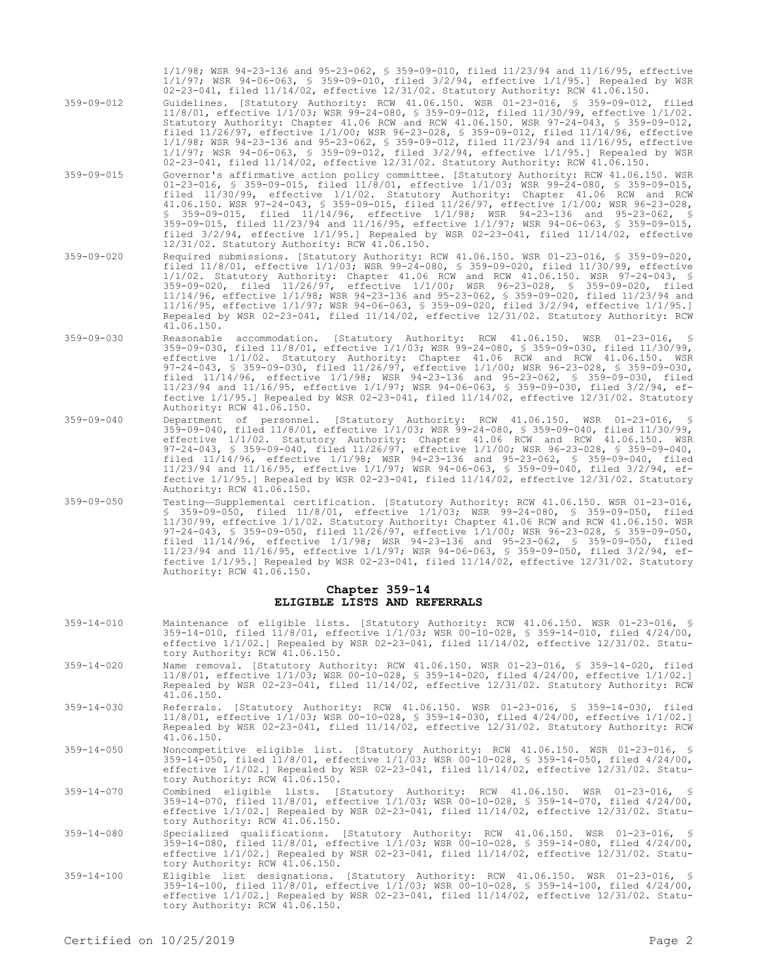- 1/1/98; WSR 94-23-136 and 95-23-062, § 359-09-010, filed 11/23/94 and 11/16/95, effective 1/1/97; WSR 94-06-063, § 359-09-010, filed 3/2/94, effective 1/1/95.] Repealed by WSR 02-23-041, filed 11/14/02, effective 12/31/02. Statutory Authority: RCW 41.06.150.
- 359-09-012 Guidelines. [Statutory Authority: RCW 41.06.150. WSR 01-23-016, § 359-09-012, filed 11/8/01, effective 1/1/03; WSR 99-24-080, § 359-09-012, filed 11/30/99, effective 1/1/02. Statutory Authority: Chapter 41.06 RCW and RCW 41.06.150. WSR 97-24-043, § 359-09-012, filed 11/26/97, effective 1/1/00; WSR 96-23-028, § 359-09-012, filed 11/14/96, effective 1/1/98; WSR 94-23-136 and 95-23-062, § 359-09-012, filed 11/23/94 and 11/16/95, effective 1/1/97; WSR 94-06-063, § 359-09-012, filed 3/2/94, effective 1/1/95.] Repealed by WSR 02-23-041, filed 11/14/02, effective 12/31/02. Statutory Authority: RCW 41.06.150.
- 359-09-015 Governor's affirmative action policy committee. [Statutory Authority: RCW 41.06.150. WSR 01-23-016, § 359-09-015, filed 11/8/01, effective 1/1/03; WSR 99-24-080, § 359-09-015, filed 11/30/99, effective 1/1/02. Statutory Authority: Chapter 41.06 RCW and RCW 41.06.150. WSR 97-24-043, § 359-09-015, filed 11/26/97, effective 1/1/00; WSR 96-23-028, § 359-09-015, filed 11/14/96, effective 1/1/98; WSR 94-23-136 and 95-23-062, § 359-09-015, filed 11/23/94 and 11/16/95, effective 1/1/97; WSR 94-06-063, § 359-09-015, filed 3/2/94, effective 1/1/95.] Repealed by WSR 02-23-041, filed 11/14/02, effective 12/31/02. Statutory Authority: RCW 41.06.150.
- 359-09-020 Required submissions. [Statutory Authority: RCW 41.06.150. WSR 01-23-016, § 359-09-020, filed 11/8/01, effective 1/1/03; WSR 99-24-080, § 359-09-020, filed 11/30/99, effective 1/1/02. Statutory Authority: Chapter 41.06 RCW and RCW 41.06.150. WSR 97-24-043, § 359-09-020, filed 11/26/97, effective 1/1/00; WSR 96-23-028, § 359-09-020, filed 11/14/96, effective 1/1/98; WSR 94-23-136 and 95-23-062, § 359-09-020, filed 11/23/94 and 11/16/95, effective 1/1/97; WSR 94-06-063, § 359-09-020, filed 3/2/94, effective 1/1/95.] Repealed by WSR 02-23-041, filed 11/14/02, effective 12/31/02. Statutory Authority: RCW 41.06.150.
- 359-09-030 Reasonable accommodation. [Statutory Authority: RCW 41.06.150. WSR 01-23-016, § 359-09-030, filed 11/8/01, effective 1/1/03; WSR 99-24-080, § 359-09-030, filed 11/30/99, effective 1/1/02. Statutory Authority: Chapter 41.06 RCW and RCW 41.06.150. WSR 97-24-043, § 359-09-030, filed 11/26/97, effective 1/1/00; WSR 96-23-028, § 359-09-030, filed 11/14/96, effective 1/1/98; WSR 94-23-136 and 95-23-062, § 359-09-030, filed 11/23/94 and 11/16/95, effective 1/1/97; WSR 94-06-063, § 359-09-030, filed 3/2/94, effective 1/1/95.] Repealed by WSR 02-23-041, filed 11/14/02, effective 12/31/02. Statutory Authority: RCW 41.06.150.
- 359-09-040 Department of personnel. [Statutory Authority: RCW 41.06.150. WSR 01-23-016, § 359-09-040, filed 11/8/01, effective 1/1/03; WSR 99-24-080, § 359-09-040, filed 11/30/99, effective 1/1/02. Statutory Authority: Chapter 41.06 RCW and RCW 41.06.150. WSR 97-24-043, § 359-09-040, filed 11/26/97, effective 1/1/00; WSR 96-23-028, § 359-09-040, filed 11/14/96, effective 1/1/98; WSR 94-23-136 and 95-23-062, § 359-09-040, filed 11/23/94 and 11/16/95, effective 1/1/97; WSR 94-06-063, § 359-09-040, filed 3/2/94, effective 1/1/95.] Repealed by WSR 02-23-041, filed 11/14/02, effective 12/31/02. Statutory Authority: RCW 41.06.150.
- 359-09-050 Testing—Supplemental certification. [Statutory Authority: RCW 41.06.150. WSR 01-23-016, § 359-09-050, filed 11/8/01, effective 1/1/03; WSR 99-24-080, § 359-09-050, filed 11/30/99, effective 1/1/02. Statutory Authority: Chapter 41.06 RCW and RCW 41.06.150. WSR 97-24-043, § 359-09-050, filed 11/26/97, effective 1/1/00; WSR 96-23-028, § 359-09-050, filed 11/14/96, effective 1/1/98; WSR 94-23-136 and 95-23-062, § 359-09-050, filed 11/23/94 and 11/16/95, effective 1/1/97; WSR 94-06-063, § 359-09-050, filed 3/2/94, effective 1/1/95.] Repealed by WSR 02-23-041, filed 11/14/02, effective 12/31/02. Statutory Authority: RCW 41.06.150.

#### **Chapter 359-14 ELIGIBLE LISTS AND REFERRALS**

- 359-14-010 Maintenance of eligible lists. [Statutory Authority: RCW 41.06.150. WSR 01-23-016, § 359-14-010, filed 11/8/01, effective 1/1/03; WSR 00-10-028, § 359-14-010, filed 4/24/00, effective 1/1/02.] Repealed by WSR 02-23-041, filed 11/14/02, effective 12/31/02. Statutory Authority: RCW 41.06.150.
- 359-14-020 Name removal. [Statutory Authority: RCW 41.06.150. WSR 01-23-016, § 359-14-020, filed 11/8/01, effective 1/1/03; WSR 00-10-028, § 359-14-020, filed 4/24/00, effective 1/1/02.] Repealed by WSR 02-23-041, filed 11/14/02, effective 12/31/02. Statutory Authority: RCW 41.06.150.
- 359-14-030 Referrals. [Statutory Authority: RCW 41.06.150. WSR 01-23-016, § 359-14-030, filed 11/8/01, effective 1/1/03; WSR 00-10-028, § 359-14-030, filed 4/24/00, effective 1/1/02.] Repealed by WSR 02-23-041, filed 11/14/02, effective 12/31/02. Statutory Authority: RCW 41.06.150.
- 359-14-050 Noncompetitive eligible list. [Statutory Authority: RCW 41.06.150. WSR 01-23-016, § 359-14-050, filed 11/8/01, effective 1/1/03; WSR 00-10-028, § 359-14-050, filed 4/24/00, effective 1/1/02.] Repealed by WSR 02-23-041, filed 11/14/02, effective 12/31/02. Statutory Authority: RCW 41.06.150.
- 359-14-070 Combined eligible lists. [Statutory Authority: RCW 41.06.150. WSR 01-23-016, § 359-14-070, filed 11/8/01, effective 1/1/03; WSR 00-10-028, § 359-14-070, filed 4/24/00, effective 1/1/02.] Repealed by WSR 02-23-041, filed 11/14/02, effective 12/31/02. Statu-tory Authority: RCW 41.06.150.
- 359-14-080 Specialized qualifications. [Statutory Authority: RCW 41.06.150. WSR 01-23-016, § 359-14-080, filed 11/8/01, effective 1/1/03; WSR 00-10-028, § 359-14-080, filed 4/24/00, effective 1/1/02.] Repealed by WSR 02-23-041, filed 11/14/02, effective 12/31/02. Statutory Authority: RCW 41.06.150.
- 359-14-100 Eligible list designations. [Statutory Authority: RCW 41.06.150. WSR 01-23-016, § 359-14-100, filed 11/8/01, effective 1/1/03; WSR 00-10-028, § 359-14-100, filed 4/24/00, effective 1/1/02.] Repealed by WSR 02-23-041, filed 11/14/02, effective 12/31/02. Statutory Authority: RCW 41.06.150.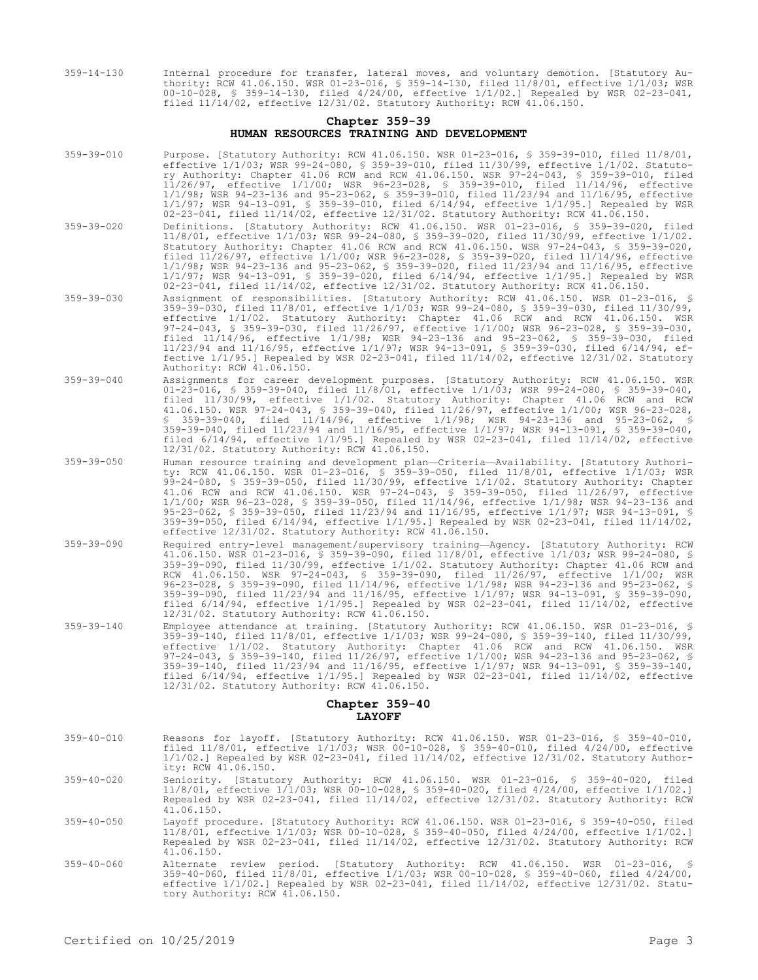359-14-130 Internal procedure for transfer, lateral moves, and voluntary demotion. [Statutory Authority: RCW 41.06.150. WSR 01-23-016, § 359-14-130, filed 11/8/01, effective 1/1/03; WSR 00-10-028, § 359-14-130, filed 4/24/00, effective 1/1/02.] Repealed by WSR 02-23-041, filed 11/14/02, effective 12/31/02. Statutory Authority: RCW 41.06.150.

### **Chapter 359-39 HUMAN RESOURCES TRAINING AND DEVELOPMENT**

- 359-39-010 Purpose. [Statutory Authority: RCW 41.06.150. WSR 01-23-016, § 359-39-010, filed 11/8/01, effective 1/1/03; WSR 99-24-080, § 359-39-010, filed 11/30/99, effective 1/1/02. Statutory Authority: Chapter 41.06 RCW and RCW 41.06.150. WSR 97-24-043, § 359-39-010, filed 11/26/97, effective 1/1/00; WSR 96-23-028, § 359-39-010, filed 11/14/96, effective 1/1/98; WSR 94-23-136 and 95-23-062, § 359-39-010, filed 11/23/94 and 11/16/95, effective 1/1/97; WSR 94-13-091, § 359-39-010, filed 6/14/94, effective 1/1/95.] Repealed by WSR 02-23-041, filed 11/14/02, effective 12/31/02. Statutory Authority: RCW 41.06.150.
- 359-39-020 Definitions. [Statutory Authority: RCW 41.06.150. WSR 01-23-016, § 359-39-020, filed 11/8/01, effective 1/1/03; WSR 99-24-080, § 359-39-020, filed 11/30/99, effective 1/1/02. Statutory Authority: Chapter 41.06 RCW and RCW 41.06.150. WSR 97-24-043, § 359-39-020, filed 11/26/97, effective 1/1/00; WSR 96-23-028, § 359-39-020, filed 11/14/96, effective 1/1/98; WSR 94-23-136 and 95-23-062, § 359-39-020, filed 11/23/94 and 11/16/95, effective 1/1/97; WSR 94-13-091, § 359-39-020, filed 6/14/94, effective 1/1/95.] Repealed by WSR 02-23-041, filed 11/14/02, effective 12/31/02. Statutory Authority: RCW 41.06.150.
- 359-39-030 Assignment of responsibilities. [Statutory Authority: RCW 41.06.150. WSR 01-23-016, § 359-39-030, filed 11/8/01, effective 1/1/03; WSR 99-24-080, § 359-39-030, filed 11/30/99, effective 1/1/02. Statutory Authority: Chapter 41.06 RCW and RCW 41.06.150. WSR 97-24-043, § 359-39-030, filed 11/26/97, effective 1/1/00; WSR 96-23-028, § 359-39-030, filed 11/14/96, effective 1/1/98; WSR 94-23-136 and 95-23-062, § 359-39-030, filed 11/23/94 and 11/16/95, effective 1/1/97; WSR 94-13-091, § 359-39-030, filed 6/14/94, effective 1/1/95.] Repealed by WSR 02-23-041, filed 11/14/02, effective 12/31/02. Statutory Authority: RCW 41.06.150.
- 359-39-040 Assignments for career development purposes. [Statutory Authority: RCW 41.06.150. WSR 01-23-016, § 359-39-040, filed 11/8/01, effective 1/1/03; WSR 99-24-080, § 359-39-040, filed 11/30/99, effective 1/1/02. Statutory Authority: Chapter 41.06 RCW and RCW 41.06.150. WSR 97-24-043, § 359-39-040, filed 11/26/97, effective 1/1/00; WSR 96-23-028, § 359-39-040, filed 11/14/96, effective 1/1/98; WSR 94-23-136 and 95-23-062, § 359-39-040, filed 11/23/94 and 11/16/95, effective 1/1/97; WSR 94-13-091, § 359-39-040, filed 6/14/94, effective 1/1/95.] Repealed by WSR 02-23-041, filed 11/14/02, effective 12/31/02. Statutory Authority: RCW 41.06.150.
- 359-39-050 Human resource training and development plan—Criteria—Availability. [Statutory Authority: RCW 41.06.150. WSR 01-23-016, § 359-39-050, filed 11/8/01, effective 1/1/03; WSR 99-24-080, § 359-39-050, filed 11/30/99, effective 1/1/02. Statutory Authority: Chapter 41.06 RCW and RCW 41.06.150. WSR 97-24-043, § 359-39-050, filed 11/26/97, effective 1/1/00; WSR 96-23-028, § 359-39-050, filed 11/14/96, effective 1/1/98; WSR 94-23-136 and 95-23-062, § 359-39-050, filed 11/23/94 and 11/16/95, effective 1/1/97; WSR 94-13-091, § 359-39-050, filed 6/14/94, effective 1/1/95.] Repealed by WSR 02-23-041, filed 11/14/02, effective 12/31/02. Statutory Authority: RCW 41.06.150.
- 359-39-090 Required entry-level management/supervisory training—Agency. [Statutory Authority: RCW 41.06.150. WSR 01-23-016, § 359-39-090, filed 11/8/01, effective 1/1/03; WSR 99-24-080, § 359-39-090, filed 11/30/99, effective 1/1/02. Statutory Authority: Chapter 41.06 RCW and RCW 41.06.150. WSR 97-24-043, § 359-39-090, filed 11/26/97, effective 1/1/00; WSR 96-23-028, § 359-39-090, filed 11/14/96, effective 1/1/98; WSR 94-23-136 and 95-23-062, § 359-39-090, filed 11/23/94 and 11/16/95, effective 1/1/97; WSR 94-13-091, § 359-39-090, filed 6/14/94, effective 1/1/95.] Repealed by WSR 02-23-041, filed 11/14/02, effective 12/31/02. Statutory Authority: RCW 41.06.150.
- 359-39-140 Employee attendance at training. [Statutory Authority: RCW 41.06.150. WSR 01-23-016, § 359-39-140, filed 11/8/01, effective 1/1/03; WSR 99-24-080, § 359-39-140, filed 11/30/99, effective 1/1/02. Statutory Authority: Chapter 41.06 RCW and RCW 41.06.150. WSR 97-24-043, § 359-39-140, filed 11/26/97, effective 1/1/00; WSR 94-23-136 and 95-23-062, § 359-39-140, filed 11/23/94 and 11/16/95, effective 1/1/97; WSR 94-13-091, § 359-39-140, filed 6/14/94, effective 1/1/95.] Repealed by WSR 02-23-041, filed 11/14/02, effective 12/31/02. Statutory Authority: RCW 41.06.150.

# **Chapter 359-40 LAYOFF**

359-40-010 Reasons for layoff. [Statutory Authority: RCW 41.06.150. WSR 01-23-016, § 359-40-010, filed 11/8/01, effective 1/1/03; WSR 00-10-028, § 359-40-010, filed 4/24/00, effective 1/1/02.] Repealed by WSR 02-23-041, filed 11/14/02, effective 12/31/02. Statutory Authority: RCW 41.06.150. 359-40-020 Seniority. [Statutory Authority: RCW 41.06.150. WSR 01-23-016, § 359-40-020, filed 11/8/01, effective 1/1/03; WSR 00-10-028, § 359-40-020, filed 4/24/00, effective 1/1/02.] Repealed by WSR 02-23-041, filed 11/14/02, effective 12/31/02. Statutory Authority: RCW 41.06.150. 359-40-050 Layoff procedure. [Statutory Authority: RCW 41.06.150. WSR 01-23-016, § 359-40-050, filed 11/8/01, effective 1/1/03; WSR 00-10-028, § 359-40-050, filed 4/24/00, effective 1/1/02.] Repealed by WSR 02-23-041, filed 11/14/02, effective 12/31/02. Statutory Authority: RCW 41.06.150. 359-40-060 Alternate review period. [Statutory Authority: RCW 41.06.150. WSR 01-23-016, § 359-40-060, filed 11/8/01, effective 1/1/03; WSR 00-10-028, § 359-40-060, filed 4/24/00, effective 1/1/02.] Repealed by WSR 02-23-041, filed 11/14/02, effective 12/31/02. Statutory Authority: RCW 41.06.150.